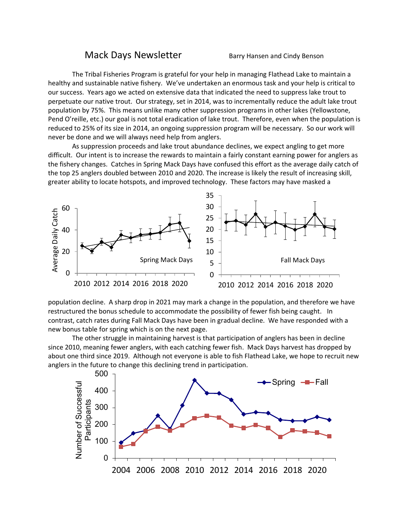## Mack Days Newsletter Barry Hansen and Cindy Benson

The Tribal Fisheries Program is grateful for your help in managing Flathead Lake to maintain a healthy and sustainable native fishery. We've undertaken an enormous task and your help is critical to our success. Years ago we acted on extensive data that indicated the need to suppress lake trout to perpetuate our native trout. Our strategy, set in 2014, was to incrementally reduce the adult lake trout population by 75%. This means unlike many other suppression programs in other lakes (Yellowstone, Pend O'reille, etc.) our goal is not total eradication of lake trout. Therefore, even when the population is reduced to 25% of its size in 2014, an ongoing suppression program will be necessary. So our work will never be done and we will always need help from anglers.

As suppression proceeds and lake trout abundance declines, we expect angling to get more difficult. Our intent is to increase the rewards to maintain a fairly constant earning power for anglers as the fishery changes. Catches in Spring Mack Days have confused this effort as the average daily catch of the top 25 anglers doubled between 2010 and 2020. The increase is likely the result of increasing skill, greater ability to locate hotspots, and improved technology. These factors may have masked a



population decline. A sharp drop in 2021 may mark a change in the population, and therefore we have restructured the bonus schedule to accommodate the possibility of fewer fish being caught. In contrast, catch rates during Fall Mack Days have been in gradual decline. We have responded with a new bonus table for spring which is on the next page.

The other struggle in maintaining harvest is that participation of anglers has been in decline since 2010, meaning fewer anglers, with each catching fewer fish. Mack Days harvest has dropped by about one third since 2019. Although not everyone is able to fish Flathead Lake, we hope to recruit new anglers in the future to change this declining trend in participation.